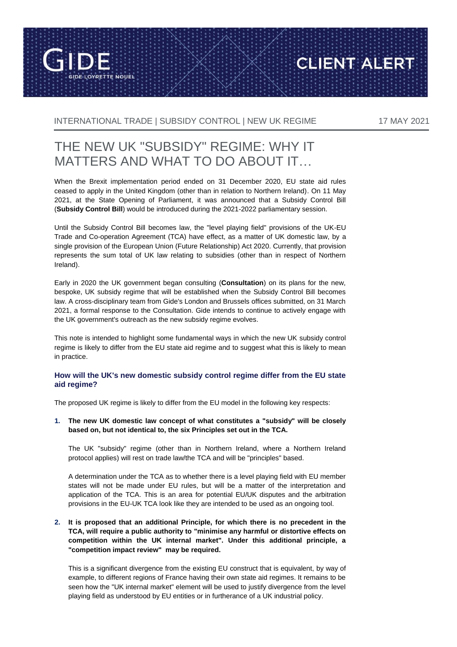

INTERNATIONAL TRADE | SUBSIDY CONTROL | NEW UK REGIME 17 MAY 2021

**CLIENT ALERT** 

# THE NEW UK "SUBSIDY" REGIME: WHY IT MATTERS AND WHAT TO DO ABOUT IT…

When the Brexit implementation period ended on 31 December 2020, EU state aid rules ceased to apply in the United Kingdom (other than in relation to Northern Ireland). On 11 May 2021, at the State Opening of Parliament, it was announced that a Subsidy Control Bill (**Subsidy Control Bill**) would be introduced during the 2021-2022 parliamentary session.

Until the Subsidy Control Bill becomes law, the "level playing field" provisions of the UK-EU Trade and Co-operation Agreement (TCA) have effect, as a matter of UK domestic law, by a single provision of the European Union (Future Relationship) Act 2020. Currently, that provision represents the sum total of UK law relating to subsidies (other than in respect of Northern Ireland).

Early in 2020 the UK government began consulting (**Consultation**) on its plans for the new, bespoke, UK subsidy regime that will be established when the Subsidy Control Bill becomes law. A cross-disciplinary team from Gide's London and Brussels offices submitted, on 31 March 2021, a formal response to the Consultation. Gide intends to continue to actively engage with the UK government's outreach as the new subsidy regime evolves.

This note is intended to highlight some fundamental ways in which the new UK subsidy control regime is likely to differ from the EU state aid regime and to suggest what this is likely to mean in practice.

## **How will the UK's new domestic subsidy control regime differ from the EU state aid regime?**

The proposed UK regime is likely to differ from the EU model in the following key respects:

**1. The new UK domestic law concept of what constitutes a "subsidy" will be closely based on, but not identical to, the six Principles set out in the TCA.**

The UK "subsidy" regime (other than in Northern Ireland, where a Northern Ireland protocol applies) will rest on trade law/the TCA and will be "principles" based.

A determination under the TCA as to whether there is a level playing field with EU member states will not be made under EU rules, but will be a matter of the interpretation and application of the TCA. This is an area for potential EU/UK disputes and the arbitration provisions in the EU-UK TCA look like they are intended to be used as an ongoing tool.

## **2. It is proposed that an additional Principle, for which there is no precedent in the TCA, will require a public authority to "minimise any harmful or distortive effects on competition within the UK internal market". Under this additional principle, a "competition impact review" may be required.**

This is a significant divergence from the existing EU construct that is equivalent, by way of example, to different regions of France having their own state aid regimes. It remains to be seen how the "UK internal market" element will be used to justify divergence from the level playing field as understood by EU entities or in furtherance of a UK industrial policy.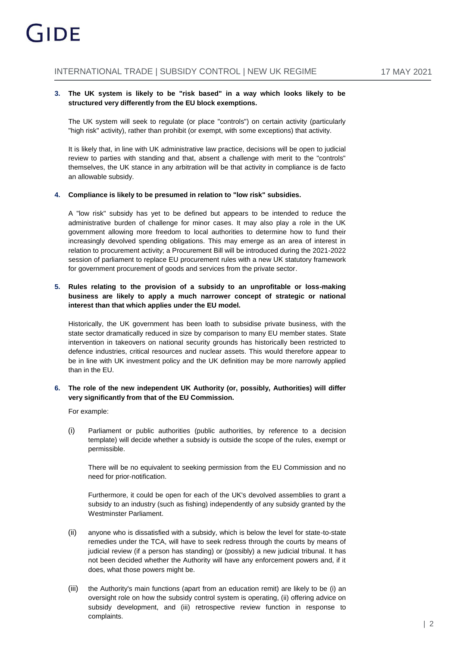#### **3. The UK system is likely to be "risk based" in a way which looks likely to be structured very differently from the EU block exemptions.**

The UK system will seek to regulate (or place "controls") on certain activity (particularly "high risk" activity), rather than prohibit (or exempt, with some exceptions) that activity.

It is likely that, in line with UK administrative law practice, decisions will be open to judicial review to parties with standing and that, absent a challenge with merit to the "controls" themselves, the UK stance in any arbitration will be that activity in compliance is de facto an allowable subsidy.

#### **4. Compliance is likely to be presumed in relation to "low risk" subsidies.**

A "low risk" subsidy has yet to be defined but appears to be intended to reduce the administrative burden of challenge for minor cases. It may also play a role in the UK government allowing more freedom to local authorities to determine how to fund their increasingly devolved spending obligations. This may emerge as an area of interest in relation to procurement activity; a Procurement Bill will be introduced during the 2021-2022 session of parliament to replace EU procurement rules with a new UK statutory framework for government procurement of goods and services from the private sector.

#### **5. Rules relating to the provision of a subsidy to an unprofitable or loss-making business are likely to apply a much narrower concept of strategic or national interest than that which applies under the EU model.**

Historically, the UK government has been loath to subsidise private business, with the state sector dramatically reduced in size by comparison to many EU member states. State intervention in takeovers on national security grounds has historically been restricted to defence industries, critical resources and nuclear assets. This would therefore appear to be in line with UK investment policy and the UK definition may be more narrowly applied than in the EU.

## **6. The role of the new independent UK Authority (or, possibly, Authorities) will differ very significantly from that of the EU Commission.**

For example:

(i) Parliament or public authorities (public authorities, by reference to a decision template) will decide whether a subsidy is outside the scope of the rules, exempt or permissible.

There will be no equivalent to seeking permission from the EU Commission and no need for prior-notification.

Furthermore, it could be open for each of the UK's devolved assemblies to grant a subsidy to an industry (such as fishing) independently of any subsidy granted by the Westminster Parliament.

- (ii) anyone who is dissatisfied with a subsidy, which is below the level for state-to-state remedies under the TCA, will have to seek redress through the courts by means of judicial review (if a person has standing) or (possibly) a new judicial tribunal. It has not been decided whether the Authority will have any enforcement powers and, if it does, what those powers might be.
- (iii) the Authority's main functions (apart from an education remit) are likely to be (i) an oversight role on how the subsidy control system is operating, (ii) offering advice on subsidy development, and (iii) retrospective review function in response to complaints.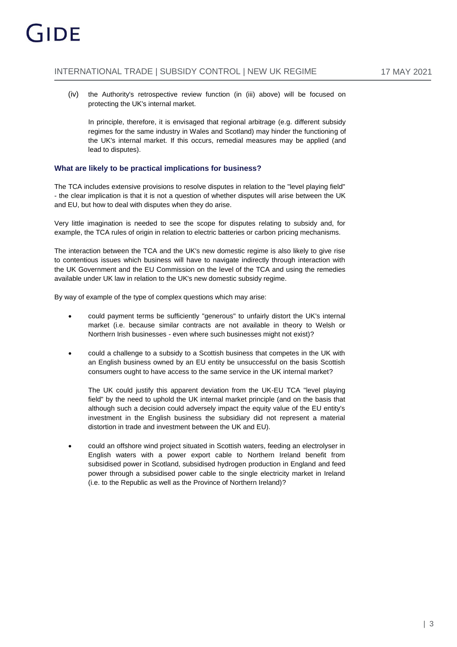(iv) the Authority's retrospective review function (in (iii) above) will be focused on protecting the UK's internal market.

In principle, therefore, it is envisaged that regional arbitrage (e.g. different subsidy regimes for the same industry in Wales and Scotland) may hinder the functioning of the UK's internal market. If this occurs, remedial measures may be applied (and lead to disputes).

## **What are likely to be practical implications for business?**

The TCA includes extensive provisions to resolve disputes in relation to the "level playing field" - the clear implication is that it is not a question of whether disputes will arise between the UK and EU, but how to deal with disputes when they do arise.

Very little imagination is needed to see the scope for disputes relating to subsidy and, for example, the TCA rules of origin in relation to electric batteries or carbon pricing mechanisms.

The interaction between the TCA and the UK's new domestic regime is also likely to give rise to contentious issues which business will have to navigate indirectly through interaction with the UK Government and the EU Commission on the level of the TCA and using the remedies available under UK law in relation to the UK's new domestic subsidy regime.

By way of example of the type of complex questions which may arise:

- could payment terms be sufficiently "generous" to unfairly distort the UK's internal market (i.e. because similar contracts are not available in theory to Welsh or Northern Irish businesses - even where such businesses might not exist)?
- could a challenge to a subsidy to a Scottish business that competes in the UK with an English business owned by an EU entity be unsuccessful on the basis Scottish consumers ought to have access to the same service in the UK internal market?

The UK could justify this apparent deviation from the UK-EU TCA "level playing field" by the need to uphold the UK internal market principle (and on the basis that although such a decision could adversely impact the equity value of the EU entity's investment in the English business the subsidiary did not represent a material distortion in trade and investment between the UK and EU).

 could an offshore wind project situated in Scottish waters, feeding an electrolyser in English waters with a power export cable to Northern Ireland benefit from subsidised power in Scotland, subsidised hydrogen production in England and feed power through a subsidised power cable to the single electricity market in Ireland (i.e. to the Republic as well as the Province of Northern Ireland)?